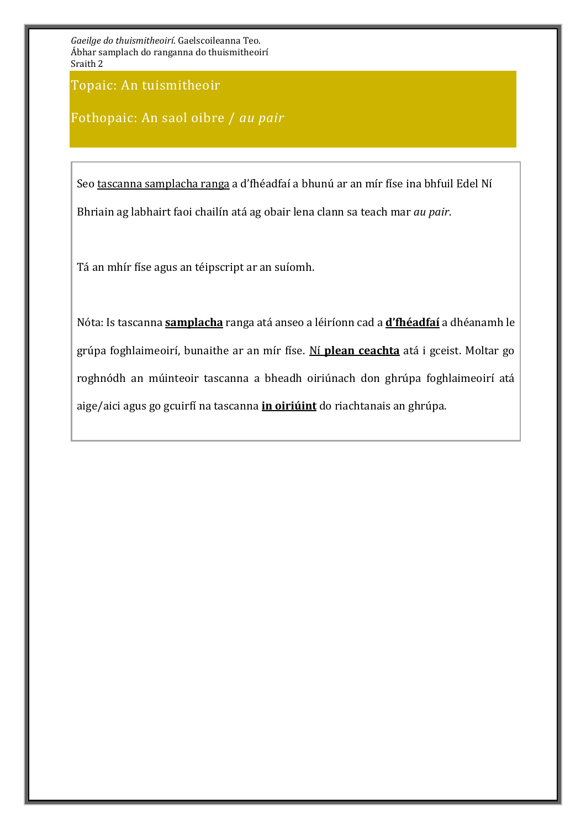Topaic: An tuismitheoir

Fothopaic: An saol oibre / *au pair*

Seo tascanna samplacha ranga a d'fhéadfaí a bhunú ar an mír físe ina bhfuil Edel Ní Bhriain ag labhairt faoi chailín atá ag obair lena clann sa teach mar *au pair*.

Tá an mhír físe agus an téipscript ar an suíomh.

Nóta: Is tascanna **samplacha** ranga atá anseo a léiríonn cad a **d'fhéadfaí** a dhéanamh le grúpa foghlaimeoirí, bunaithe ar an mír físe. Ní **plean ceachta** atá i gceist. Moltar go roghnódh an múinteoir tascanna a bheadh oiriúnach don ghrúpa foghlaimeoirí atá aige/aici agus go gcuirfí na tascanna **in oiriúint** do riachtanais an ghrúpa.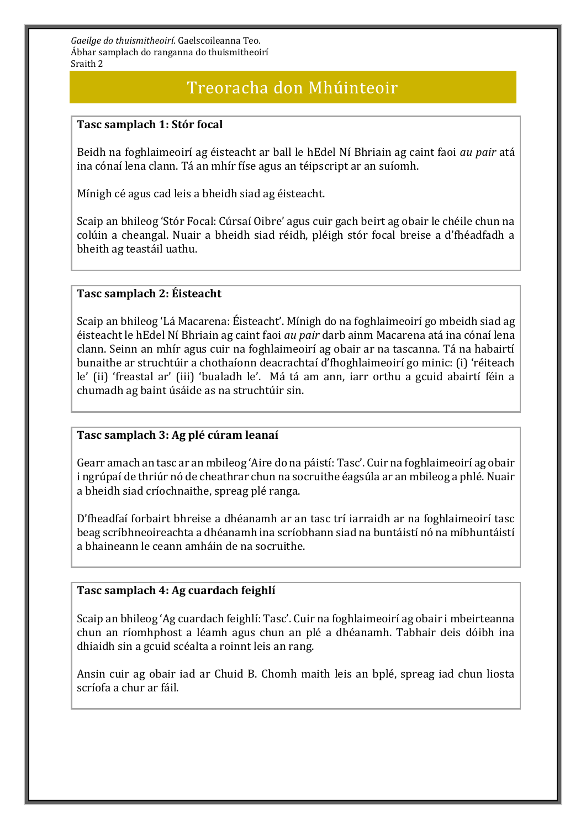# Treoracha don Mhúinteoir

### **Tasc samplach 1: Stór focal**

Beidh na foghlaimeoirí ag éisteacht ar ball le hEdel Ní Bhriain ag caint faoi *au pair* atá ina cónaí lena clann. Tá an mhír físe agus an téipscript ar an suíomh.

Mínigh cé agus cad leis a bheidh siad ag éisteacht.

Scaip an bhileog 'Stór Focal: Cúrsaí Oibre' agus cuir gach beirt ag obair le chéile chun na colúin a cheangal. Nuair a bheidh siad réidh, pléigh stór focal breise a d'fhéadfadh a bheith ag teastáil uathu.

### **Tasc samplach 2: Éisteacht**

Scaip an bhileog 'Lá Macarena: Éisteacht'. Mínigh do na foghlaimeoirí go mbeidh siad ag éisteacht le hEdel Ní Bhriain ag caint faoi *au pair* darb ainm Macarena atá ina cónaí lena clann. Seinn an mhír agus cuir na foghlaimeoirí ag obair ar na tascanna. Tá na habairtí bunaithe ar struchtúir a chothaíonn deacrachtaí d'fhoghlaimeoirí go minic: (i) 'réiteach le' (ii) 'freastal ar' (iii) 'bualadh le'. Má tá am ann, iarr orthu a gcuid abairtí féin a chumadh ag baint úsáide as na struchtúir sin.

### **Tasc samplach 3: Ag plé cúram leanaí**

Gearr amach an tasc ar an mbileog 'Aire do na páistí: Tasc'. Cuir na foghlaimeoirí ag obair i ngrúpaí de thriúr nó de cheathrar chun na socruithe éagsúla ar an mbileog a phlé. Nuair a bheidh siad críochnaithe, spreag plé ranga.

D'fheadfaí forbairt bhreise a dhéanamh ar an tasc trí iarraidh ar na foghlaimeoirí tasc beag scríbhneoireachta a dhéanamh ina scríobhann siad na buntáistí nó na míbhuntáistí a bhaineann le ceann amháin de na socruithe.

#### **Tasc samplach 4: Ag cuardach feighlí**

Scaip an bhileog 'Ag cuardach feighlí: Tasc'. Cuir na foghlaimeoirí ag obair i mbeirteanna chun an ríomhphost a léamh agus chun an plé a dhéanamh. Tabhair deis dóibh ina dhiaidh sin a gcuid scéalta a roinnt leis an rang.

Ansin cuir ag obair iad ar Chuid B. Chomh maith leis an bplé, spreag iad chun liosta scríofa a chur ar fáil.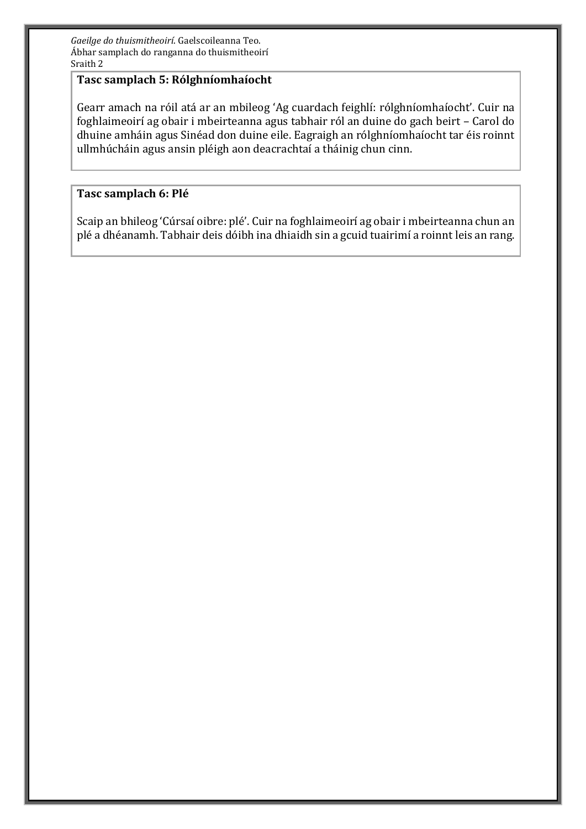### **Tasc samplach 5: Rólghníomhaíocht**

Gearr amach na róil atá ar an mbileog 'Ag cuardach feighlí: rólghníomhaíocht'. Cuir na foghlaimeoirí ag obair i mbeirteanna agus tabhair ról an duine do gach beirt – Carol do dhuine amháin agus Sinéad don duine eile. Eagraigh an rólghníomhaíocht tar éis roinnt ullmhúcháin agus ansin pléigh aon deacrachtaí a tháinig chun cinn.

### **Tasc samplach 6: Plé**

Scaip an bhileog 'Cúrsaí oibre: plé'. Cuir na foghlaimeoirí ag obair i mbeirteanna chun an plé a dhéanamh. Tabhair deis dóibh ina dhiaidh sin a gcuid tuairimí a roinnt leis an rang.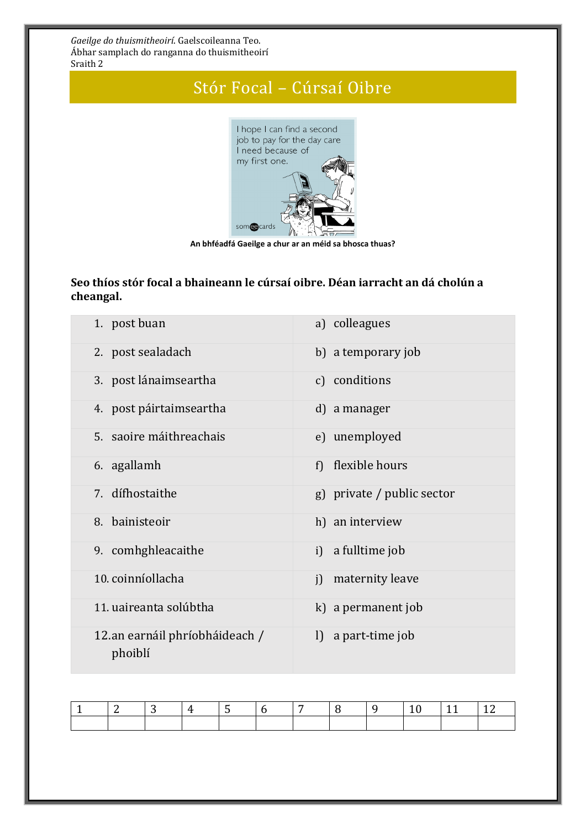# Stór Focal – Cúrsaí Oibre



**An bhféadfá Gaeilge a chur ar an méid sa bhosca thuas?**

## **Seo thíos stór focal a bhaineann le cúrsaí oibre. Déan iarracht an dá cholún a cheangal.**

| 1. post buan                               | a) colleagues              |
|--------------------------------------------|----------------------------|
| 2. post sealadach                          | b) a temporary job         |
| 3. post lánaimseartha                      | c) conditions              |
| 4. post páirtaimseartha                    | d) a manager               |
| 5. saoire máithreachais                    | e) unemployed              |
| 6. agallamh                                | flexible hours<br>f)       |
| 7. dífhostaithe                            | g) private / public sector |
| 8. bainisteoir                             | h) an interview            |
| 9. comhghleacaithe                         | i) a fulltime job          |
| 10. coinníollacha                          | maternity leave<br>i       |
| 11. uaireanta solúbtha                     | k) a permanent job         |
| 12. an earnáil phríobháideach /<br>phoiblí | l) a part-time job         |

|  |  | $\begin{array}{ccc} & & 5 \\ \end{array}$ | $\sim$ $\frac{17}{2}$ $\frac{19}{2}$ |  |  | $110$ $11$ $12$ |  |
|--|--|-------------------------------------------|--------------------------------------|--|--|-----------------|--|
|  |  |                                           |                                      |  |  |                 |  |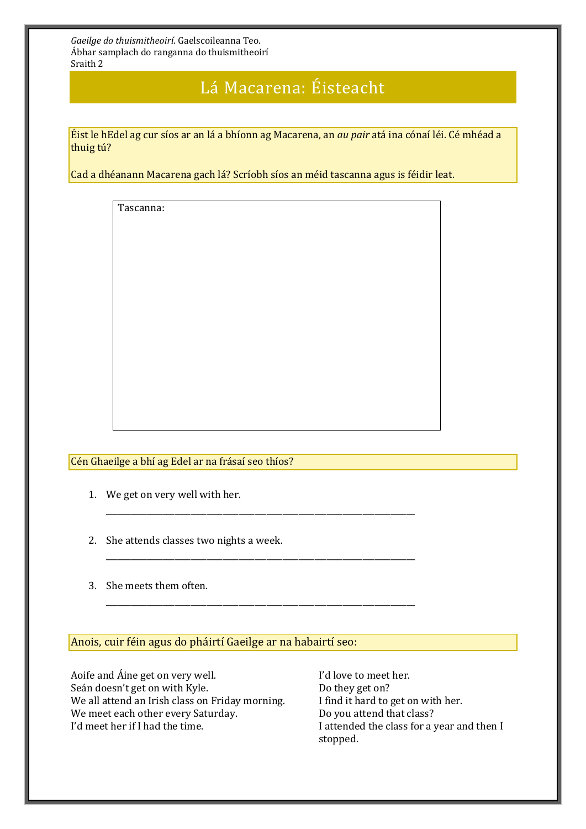# Lá Macarena: Éisteacht

Éist le hEdel ag cur síos ar an lá a bhíonn ag Macarena, an *au pair* atá ina cónaí léi. Cé mhéad a thuig tú?

Cad a dhéanann Macarena gach lá? Scríobh síos an méid tascanna agus is féidir leat.

\_\_\_\_\_\_\_\_\_\_\_\_\_\_\_\_\_\_\_\_\_\_\_\_\_\_\_\_\_\_\_\_\_\_\_\_\_\_\_\_\_\_\_\_\_\_\_\_\_\_\_\_\_\_\_\_\_\_\_\_\_\_\_\_\_\_\_\_\_\_\_\_\_\_\_\_\_

\_\_\_\_\_\_\_\_\_\_\_\_\_\_\_\_\_\_\_\_\_\_\_\_\_\_\_\_\_\_\_\_\_\_\_\_\_\_\_\_\_\_\_\_\_\_\_\_\_\_\_\_\_\_\_\_\_\_\_\_\_\_\_\_\_\_\_\_\_\_\_\_\_\_\_\_\_

\_\_\_\_\_\_\_\_\_\_\_\_\_\_\_\_\_\_\_\_\_\_\_\_\_\_\_\_\_\_\_\_\_\_\_\_\_\_\_\_\_\_\_\_\_\_\_\_\_\_\_\_\_\_\_\_\_\_\_\_\_\_\_\_\_\_\_\_\_\_\_\_\_\_\_\_\_

Tascanna:

Cén Ghaeilge a bhí ag Edel ar na frásaí seo thíos?

- 1. We get on very well with her.
- 2. She attends classes two nights a week.
- 3. She meets them often.

#### Anois, cuir féin agus do pháirtí Gaeilge ar na habairtí seo:

Aoife and Áine get on very well. I'd love to meet her. Seán doesn't get on with Kyle. Do they get on? We all attend an Irish class on Friday morning. I find it hard to get on with her. We meet each other every Saturday. Do you attend that class? I'd meet her if I had the time. I attended the class for a year and then I

stopped.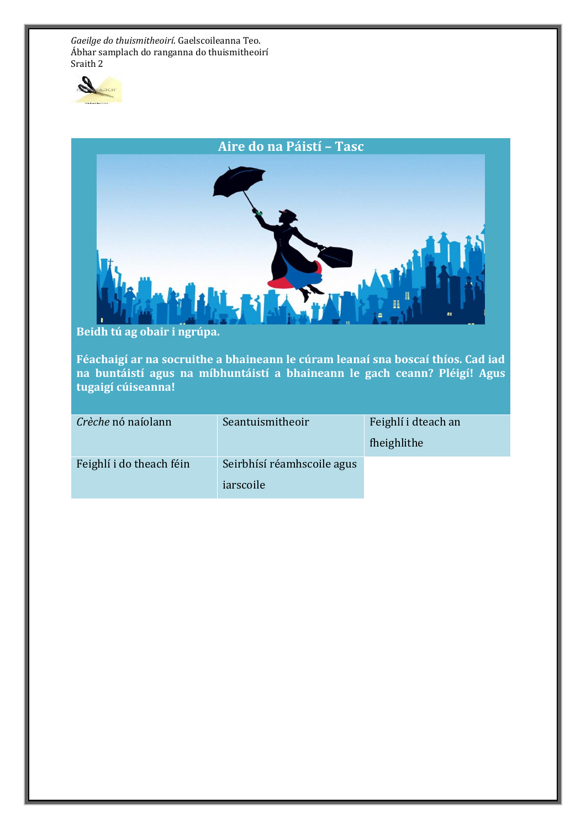



**Beidh tú ag obair i ngrúpa.** 

**Féachaigí ar na socruithe a bhaineann le cúram leanaí sna boscaí thíos. Cad iad na buntáistí agus na míbhuntáistí a bhaineann le gach ceann? Pléigí! Agus tugaigí cúiseanna!**

| Crèche nó naíolann       | Seantuismitheoir                        | Feighlí i dteach an<br>fheighlithe |
|--------------------------|-----------------------------------------|------------------------------------|
| Feighlí i do theach féin | Seirbhísí réamhscoile agus<br>iarscoile |                                    |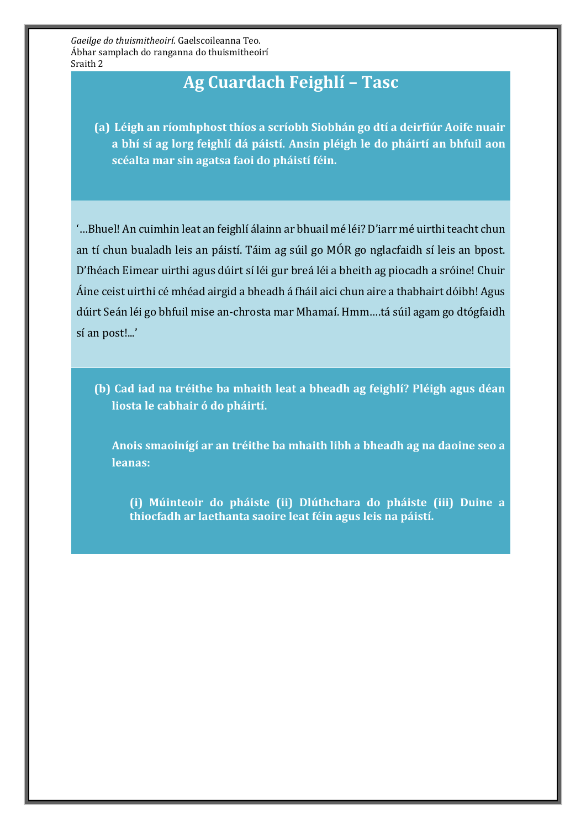# **Ag Cuardach Feighlí – Tasc**

**(a) Léigh an ríomhphost thíos a scríobh Siobhán go dtí a deirfiúr Aoife nuair a bhí sí ag lorg feighlí dá páistí. Ansin pléigh le do pháirtí an bhfuil aon scéalta mar sin agatsa faoi do pháistí féin.** 

'…Bhuel! An cuimhin leat an feighlí álainn ar bhuail mé léi? D'iarr mé uirthi teacht chun an tí chun bualadh leis an páistí. Táim ag súil go MÓR go nglacfaidh sí leis an bpost. D'fhéach Eimear uirthi agus dúirt sí léi gur breá léi a bheith ag piocadh a sróine! Chuir Áine ceist uirthi cé mhéad airgid a bheadh á fháil aici chun aire a thabhairt dóibh! Agus dúirt Seán léi go bhfuil mise an-chrosta mar Mhamaí. Hmm….tá súil agam go dtógfaidh sí an post!...'

**(b) Cad iad na tréithe ba mhaith leat a bheadh ag feighlí? Pléigh agus déan liosta le cabhair ó do pháirtí.**

**Anois smaoinígí ar an tréithe ba mhaith libh a bheadh ag na daoine seo a leanas:**

**(i) Múinteoir do pháiste (ii) Dlúthchara do pháiste (iii) Duine a thiocfadh ar laethanta saoire leat féin agus leis na páistí.**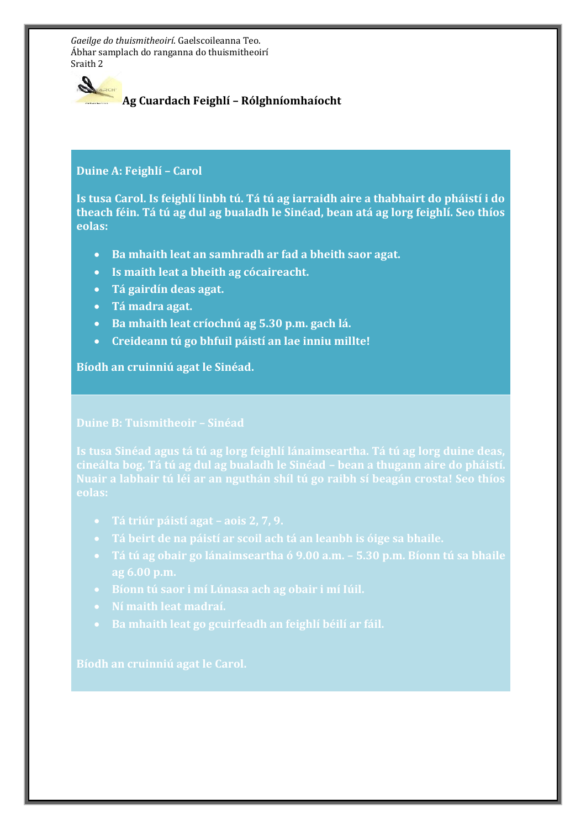

## **Ag Cuardach Feighlí – Rólghníomhaíocht**

### **Duine A: Feighlí – Carol**

**Is tusa Carol. Is feighlí linbh tú. Tá tú ag iarraidh aire a thabhairt do pháistí i do theach féin. Tá tú ag dul ag bualadh le Sinéad, bean atá ag lorg feighlí. Seo thíos eolas:**

- **Ba mhaith leat an samhradh ar fad a bheith saor agat.**
- **Is maith leat a bheith ag cócaireacht.**
- **Tá gairdín deas agat.**
- **Tá madra agat.**
- **Ba mhaith leat críochnú ag 5.30 p.m. gach lá.**
- **Creideann tú go bhfuil páistí an lae inniu millte!**

### **Bíodh an cruinniú agat le Sinéad.**

#### **Duine B: Tuismitheoir – Sinéad**

**Is tusa Sinéad agus tá tú ag lorg feighlí lánaimseartha. Tá tú ag lorg duine deas, eolas:**

- 
- **Tá beirt de na páistí ar scoil ach tá an leanbh is óige sa bhaile.**
- **Tá tú ag obair go lánaimseartha ó 9.00 a.m. – 5.30 p.m. Bíonn tú sa bhaile**
- 
- 
- **Ba mhaith leat go gcuirfeadh an feighlí béilí ar fáil.**